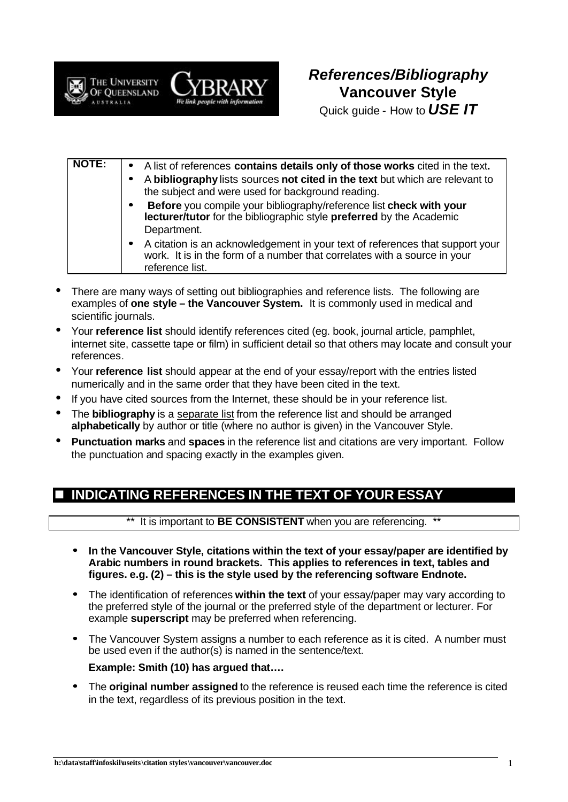



Quick guide - How to *USE IT*

| <b>NOTE:</b> | . A list of references contains details only of those works cited in the text.                                                                                                  |
|--------------|---------------------------------------------------------------------------------------------------------------------------------------------------------------------------------|
|              | A bibliography lists sources not cited in the text but which are relevant to<br>the subject and were used for background reading.                                               |
|              | Before you compile your bibliography/reference list check with your<br>lecturer/tutor for the bibliographic style preferred by the Academic                                     |
|              | Department.                                                                                                                                                                     |
|              | • A citation is an acknowledgement in your text of references that support your<br>work. It is in the form of a number that correlates with a source in your<br>reference list. |

- There are many ways of setting out bibliographies and reference lists. The following are examples of **one style – the Vancouver System.** It is commonly used in medical and scientific journals.
- Your **reference list** should identify references cited (eg. book, journal article, pamphlet, internet site, cassette tape or film) in sufficient detail so that others may locate and consult your references.
- Your **reference list** should appear at the end of your essay/report with the entries listed numerically and in the same order that they have been cited in the text.
- If you have cited sources from the Internet, these should be in your reference list.
- The **bibliography** is a separate list from the reference list and should be arranged **alphabetically** by author or title (where no author is given) in the Vancouver Style.
- **Punctuation marks** and **spaces** in the reference list and citations are very important. Follow the punctuation and spacing exactly in the examples given.

# n **INDICATING REFERENCES IN THE TEXT OF YOUR ESSAY**

\*\* It is important to **BE CONSISTENT** when you are referencing.

- **· In the Vancouver Style, citations within the text of your essay/paper are identified by Arabic numbers in round brackets. This applies to references in text, tables and figures. e.g. (2) – this is the style used by the referencing software Endnote.**
- **·** The identification of references **within the text** of your essay/paper may vary according to the preferred style of the journal or the preferred style of the department or lecturer. For example **superscript** may be preferred when referencing.
- **·** The Vancouver System assigns a number to each reference as it is cited. A number must be used even if the author(s) is named in the sentence/text.

## **Example: Smith (10) has argued that….**

**·** The **original number assigned** to the reference is reused each time the reference is cited in the text, regardless of its previous position in the text.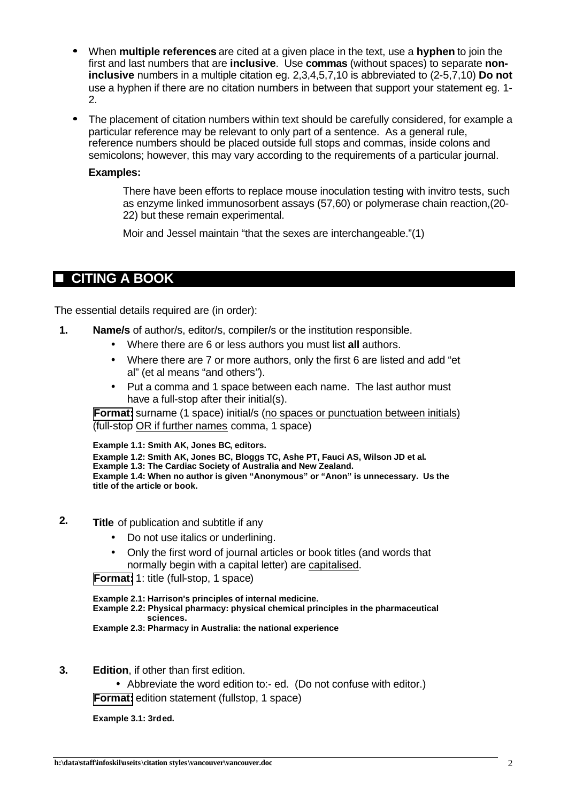- **·** When **multiple references** are cited at a given place in the text, use a **hyphen** to join the first and last numbers that are **inclusive**. Use **commas** (without spaces) to separate **noninclusive** numbers in a multiple citation eg. 2,3,4,5,7,10 is abbreviated to (2-5,7,10) **Do not** use a hyphen if there are no citation numbers in between that support your statement eg. 1- 2.
- **·** The placement of citation numbers within text should be carefully considered, for example a particular reference may be relevant to only part of a sentence. As a general rule, reference numbers should be placed outside full stops and commas, inside colons and semicolons; however, this may vary according to the requirements of a particular journal.

#### **Examples:**

There have been efforts to replace mouse inoculation testing with invitro tests, such as enzyme linked immunosorbent assays (57,60) or polymerase chain reaction,(20- 22) but these remain experimental.

Moir and Jessel maintain "that the sexes are interchangeable."(1)

## **CITING A BOOK**

The essential details required are (in order):

- **1. Name/s** of author/s, editor/s, compiler/s or the institution responsible.
	- Where there are 6 or less authors you must list **all** authors.
	- Where there are 7 or more authors, only the first 6 are listed and add "et al" (et al means "and others*"*).
	- Put a comma and 1 space between each name. The last author must have a full-stop after their initial(s).

**Format:** surname (1 space) initial/s (no spaces or punctuation between initials) (full-stop OR if further names comma, 1 space)

**Example 1.1: Smith AK, Jones BC, editors. Example 1.2: Smith AK, Jones BC, Bloggs TC, Ashe PT, Fauci AS, Wilson JD et al. Example 1.3: The Cardiac Society of Australia and New Zealand. Example 1.4: When no author is given "Anonymous" or "Anon" is unnecessary. Us the title of the article or book.**

- **2. Title** of publication and subtitle if any
	- Do not use italics or underlining.
	- Only the first word of journal articles or book titles (and words that normally begin with a capital letter) are capitalised.

**Format:** 1: title (full-stop, 1 space)

**Example 2.1: Harrison's principles of internal medicine. Example 2.2: Physical pharmacy: physical chemical principles in the pharmaceutical sciences. Example 2.3: Pharmacy in Australia: the national experience**

**3. Edition**, if other than first edition.

• Abbreviate the word edition to:- ed. (Do not confuse with editor.) **Format:** edition statement (fullstop, 1 space)

**Example 3.1: 3rded.**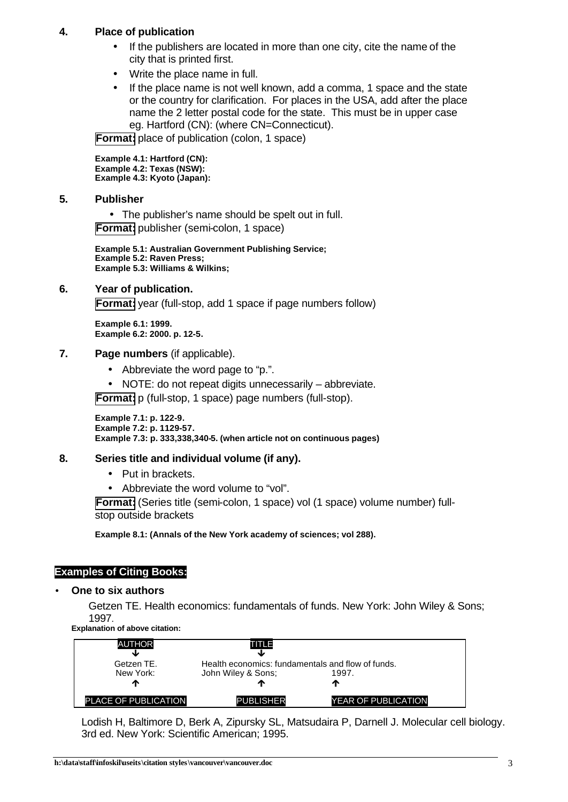## **4. Place of publication**

- If the publishers are located in more than one city, cite the name of the city that is printed first.
- Write the place name in full.
- If the place name is not well known, add a comma, 1 space and the state or the country for clarification. For places in the USA, add after the place name the 2 letter postal code for the state. This must be in upper case eg. Hartford (CN): (where CN=Connecticut).

**Format:** place of publication (colon, 1 space)

**Example 4.1: Hartford (CN): Example 4.2: Texas (NSW): Example 4.3: Kyoto (Japan):**

**5. Publisher**

• The publisher's name should be spelt out in full. **Format:** publisher (semi-colon, 1 space)

**Example 5.1: Australian Government Publishing Service; Example 5.2: Raven Press; Example 5.3: Williams & Wilkins;**

## **6. Year of publication.**

**Format:** year (full-stop, add 1 space if page numbers follow)

**Example 6.1: 1999. Example 6.2: 2000. p. 12-5.**

#### **7. Page numbers** (if applicable).

- Abbreviate the word page to "p.".
- NOTE: do not repeat digits unnecessarily abbreviate.

**Format:** p (full-stop, 1 space) page numbers (full-stop).

**Example 7.1: p. 122-9. Example 7.2: p. 1129-57. Example 7.3: p. 333,338,340-5. (when article not on continuous pages)**

## **8. Series title and individual volume (if any).**

- Put in brackets.
- Abbreviate the word volume to "vol".

**Format:** (Series title (semi-colon, 1 space) vol (1 space) volume number) fullstop outside brackets

**Example 8.1: (Annals of the New York academy of sciences; vol 288).**

## **Examples of Citing Books:**

#### • **One to six authors**

Getzen TE. Health economics: fundamentals of funds. New York: John Wiley & Sons; 1997.

**Explanation of above citation:**

| <b>AUTHOR</b>               | TITLE                                                                   |                            |
|-----------------------------|-------------------------------------------------------------------------|----------------------------|
| Getzen TE.<br>New York:     | Health economics: fundamentals and flow of funds.<br>John Wiley & Sons; | 1997.                      |
| Л,                          |                                                                         | ́^                         |
| <b>PLACE OF PUBLICATION</b> | <b>PUBLISHER</b>                                                        | <b>YEAR OF PUBLICATION</b> |

Lodish H, Baltimore D, Berk A, Zipursky SL, Matsudaira P, Darnell J. Molecular cell biology. 3rd ed. New York: Scientific American; 1995.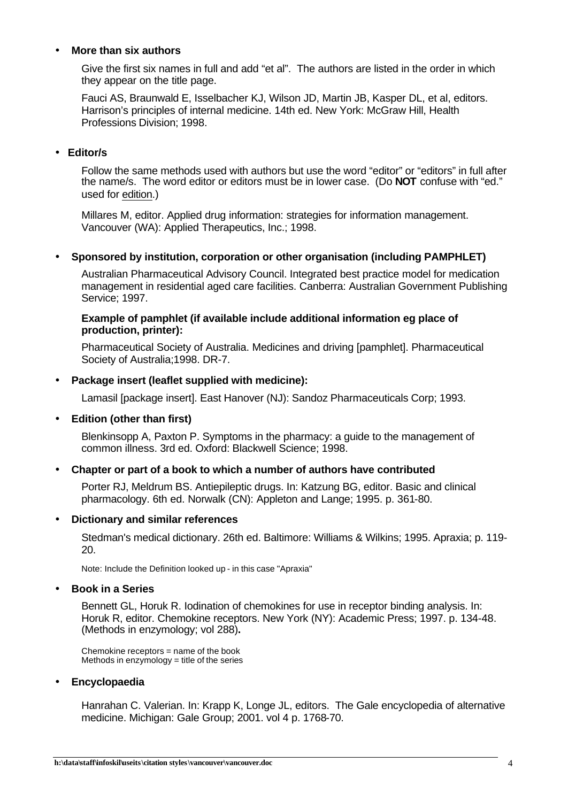## • **More than six authors**

Give the first six names in full and add "et al". The authors are listed in the order in which they appear on the title page.

Fauci AS, Braunwald E, Isselbacher KJ, Wilson JD, Martin JB, Kasper DL, et al, editors. Harrison's principles of internal medicine. 14th ed. New York: McGraw Hill, Health Professions Division; 1998.

## • **Editor/s**

Follow the same methods used with authors but use the word "editor" or "editors" in full after the name/s. The word editor or editors must be in lower case. (Do **NOT** confuse with "ed." used for edition.)

Millares M, editor. Applied drug information: strategies for information management. Vancouver (WA): Applied Therapeutics, Inc.; 1998.

#### • **Sponsored by institution, corporation or other organisation (including PAMPHLET)**

Australian Pharmaceutical Advisory Council. Integrated best practice model for medication management in residential aged care facilities. Canberra: Australian Government Publishing Service; 1997.

#### **Example of pamphlet (if available include additional information eg place of production, printer):**

Pharmaceutical Society of Australia. Medicines and driving [pamphlet]. Pharmaceutical Society of Australia;1998. DR-7.

### • **Package insert (leaflet supplied with medicine):**

Lamasil [package insert]. East Hanover (NJ): Sandoz Pharmaceuticals Corp; 1993.

## • **Edition (other than first)**

Blenkinsopp A, Paxton P. Symptoms in the pharmacy: a guide to the management of common illness. 3rd ed. Oxford: Blackwell Science; 1998.

#### • **Chapter or part of a book to which a number of authors have contributed**

Porter RJ, Meldrum BS. Antiepileptic drugs. In: Katzung BG, editor. Basic and clinical pharmacology. 6th ed. Norwalk (CN): Appleton and Lange; 1995. p. 361-80.

#### • **Dictionary and similar references**

Stedman's medical dictionary. 26th ed. Baltimore: Williams & Wilkins; 1995. Apraxia; p. 119- 20.

Note: Include the Definition looked up - in this case "Apraxia"

#### • **Book in a Series**

Bennett GL, Horuk R. Iodination of chemokines for use in receptor binding analysis. In: Horuk R, editor. Chemokine receptors. New York (NY): Academic Press; 1997. p. 134-48. (Methods in enzymology; vol 288)**.**

Chemokine receptors = name of the book Methods in enzymology  $=$  title of the series

#### • **Encyclopaedia**

Hanrahan C. Valerian. In: Krapp K, Longe JL, editors. The Gale encyclopedia of alternative medicine. Michigan: Gale Group; 2001. vol 4 p. 1768-70.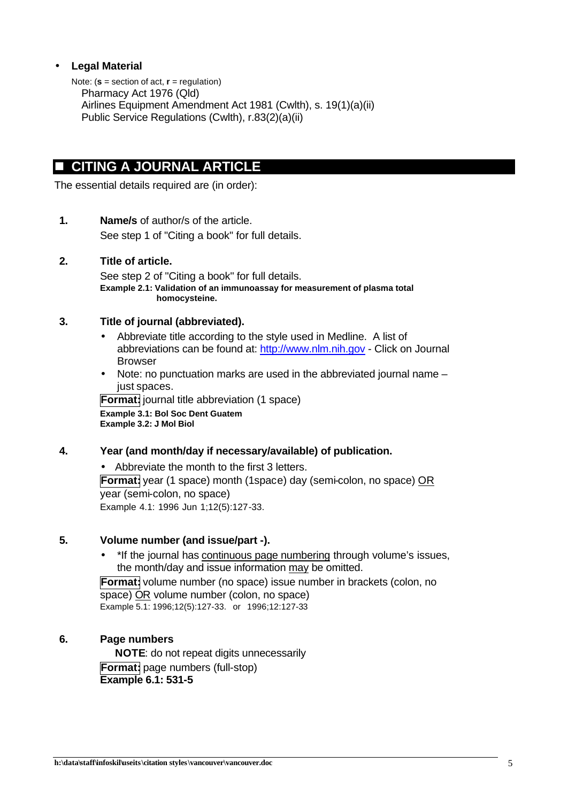## • **Legal Material**

Note: (**s** = section of act, **r** = regulation) Pharmacy Act 1976 (Qld) Airlines Equipment Amendment Act 1981 (Cwlth), s. 19(1)(a)(ii) Public Service Regulations (Cwlth), r.83(2)(a)(ii)

# **n** CITING A JOURNAL ARTICLE

The essential details required are (in order):

**1. Name/s** of author/s of the article. See step 1 of "Citing a book" for full details.

## **2. Title of article.**

See step 2 of "Citing a book" for full details. **Example 2.1: Validation of an immunoassay for measurement of plasma total homocysteine.**

## **3. Title of journal (abbreviated).**

- Abbreviate title according to the style used in Medline. A list of abbreviations can be found at: http://www.nlm.nih.gov - Click on Journal Browser
- Note: no punctuation marks are used in the abbreviated journal name just spaces.

**Format:** journal title abbreviation (1 space) **Example 3.1: Bol Soc Dent Guatem Example 3.2: J Mol Biol**

## **4. Year (and month/day if necessary/available) of publication.**

• Abbreviate the month to the first 3 letters. **Format:** year (1 space) month (1space) day (semi-colon, no space) OR year (semi-colon, no space) Example 4.1: 1996 Jun 1;12(5):127-33.

## **5. Volume number (and issue/part -).**

• \*If the journal has continuous page numbering through volume's issues, the month/day and issue information may be omitted.

**Format:** volume number (no space) issue number in brackets (colon, no space) OR volume number (colon, no space) Example 5.1: 1996;12(5):127-33. or 1996;12:127-33

## **6. Page numbers**

**NOTE**: do not repeat digits unnecessarily **Format:** page numbers (full-stop) **Example 6.1: 531-5**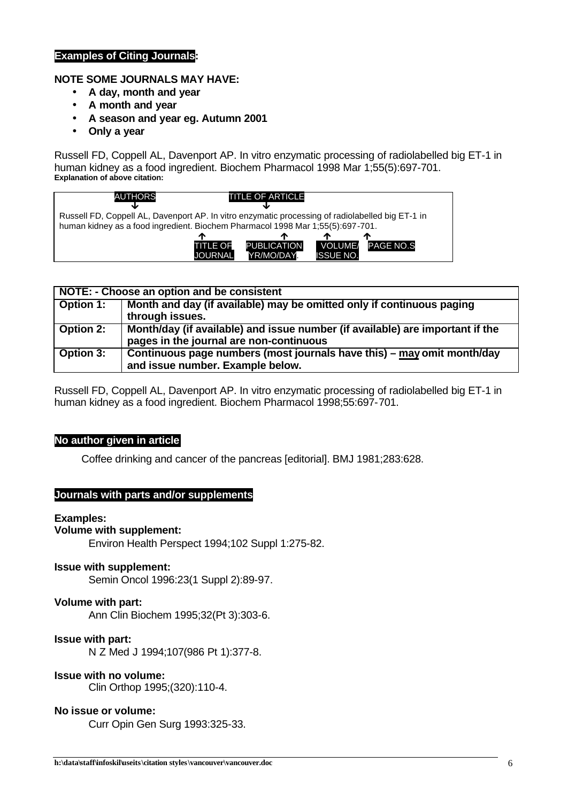## **Examples of Citing Journals:**

## **NOTE SOME JOURNALS MAY HAVE:**

- **A day, month and year**
- **A month and year**
- **A season and year eg. Autumn 2001**
- **Only a year**

Russell FD, Coppell AL, Davenport AP. In vitro enzymatic processing of radiolabelled big ET-1 in human kidney as a food ingredient. Biochem Pharmacol 1998 Mar 1;55(5):697-701. **Explanation of above citation:**



| NOTE: - Choose an option and be consistent |                                                                                                                          |  |  |
|--------------------------------------------|--------------------------------------------------------------------------------------------------------------------------|--|--|
| <b>Option 1:</b>                           | Month and day (if available) may be omitted only if continuous paging<br>through issues.                                 |  |  |
| Option 2:                                  | Month/day (if available) and issue number (if available) are important if the<br>pages in the journal are non-continuous |  |  |
| <b>Option 3:</b>                           | Continuous page numbers (most journals have this) – may omit month/day<br>and issue number. Example below.               |  |  |

Russell FD, Coppell AL, Davenport AP. In vitro enzymatic processing of radiolabelled big ET-1 in human kidney as a food ingredient. Biochem Pharmacol 1998;55:697-701.

#### **No author given in article**

Coffee drinking and cancer of the pancreas [editorial]. BMJ 1981;283:628.

#### **Journals with parts and/or supplements**

#### **Examples:**

#### **Volume with supplement:**

Environ Health Perspect 1994;102 Suppl 1:275-82.

#### **Issue with supplement:**

Semin Oncol 1996:23(1 Suppl 2):89-97.

#### **Volume with part:**

Ann Clin Biochem 1995;32(Pt 3):303-6.

#### **Issue with part:**

N Z Med J 1994;107(986 Pt 1):377-8.

#### **Issue with no volume:**

Clin Orthop 1995;(320):110-4.

#### **No issue or volume:**

Curr Opin Gen Surg 1993:325-33.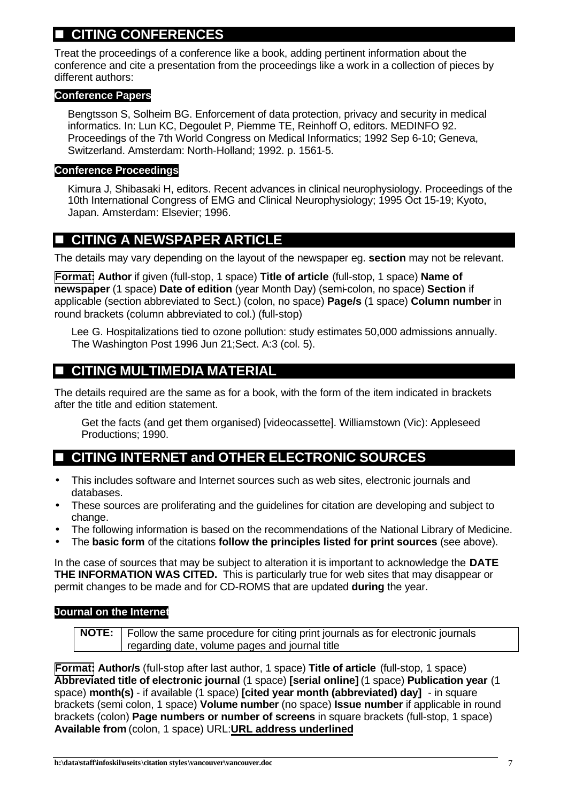# n **CITING CONFERENCES**

Treat the proceedings of a conference like a book, adding pertinent information about the conference and cite a presentation from the proceedings like a work in a collection of pieces by different authors:

## **Conference Papers**

Bengtsson S, Solheim BG. Enforcement of data protection, privacy and security in medical informatics. In: Lun KC, Degoulet P, Piemme TE, Reinhoff O, editors. MEDINFO 92. Proceedings of the 7th World Congress on Medical Informatics; 1992 Sep 6-10; Geneva, Switzerland. Amsterdam: North-Holland; 1992. p. 1561-5.

## **Conference Proceedings**

Kimura J, Shibasaki H, editors. Recent advances in clinical neurophysiology. Proceedings of the 10th International Congress of EMG and Clinical Neurophysiology; 1995 Oct 15-19; Kyoto, Japan. Amsterdam: Elsevier; 1996.

# $\blacksquare$  **CITING A NEWSPAPER ARTICLE**

The details may vary depending on the layout of the newspaper eg. **section** may not be relevant.

**Format: Author** if given (full-stop, 1 space) **Title of article** (full-stop, 1 space) **Name of newspaper** (1 space) **Date of edition** (year Month Day) (semi-colon, no space) **Section** if applicable (section abbreviated to Sect.) (colon, no space) **Page/s** (1 space) **Column number** in round brackets (column abbreviated to col.) (full-stop)

Lee G. Hospitalizations tied to ozone pollution: study estimates 50,000 admissions annually. The Washington Post 1996 Jun 21;Sect. A:3 (col. 5).

# **CITING MULTIMEDIA MATERIAL**

The details required are the same as for a book, with the form of the item indicated in brackets after the title and edition statement.

Get the facts (and get them organised) [videocassette]. Williamstown (Vic): Appleseed Productions; 1990.

# **E** CITING INTERNET and OTHER ELECTRONIC SOURCES

- This includes software and Internet sources such as web sites, electronic journals and databases.
- These sources are proliferating and the guidelines for citation are developing and subject to change.
- The following information is based on the recommendations of the National Library of Medicine.
- The **basic form** of the citations **follow the principles listed for print sources** (see above).

In the case of sources that may be subject to alteration it is important to acknowledge the **DATE THE INFORMATION WAS CITED.** This is particularly true for web sites that may disappear or permit changes to be made and for CD-ROMS that are updated **during** the year.

## **Journal on the Internet**

| <b>NOTE:</b> Follow the same procedure for citing print journals as for electronic journals |
|---------------------------------------------------------------------------------------------|
| regarding date, volume pages and journal title                                              |

**Format: Author/s** (full-stop after last author, 1 space) **Title of article** (full-stop, 1 space) **Abbreviated title of electronic journal** (1 space) **[serial online]** (1 space) **Publication year** (1 space) **month(s)** - if available (1 space) **[cited year month (abbreviated) day]** - in square brackets (semi colon, 1 space) **Volume number** (no space) **Issue number** if applicable in round brackets (colon) **Page numbers or number of screens** in square brackets (full-stop, 1 space) **Available from** (colon, 1 space) URL:**URL address underlined**

**h:\data\staff\infoskil\useits\citation styles\vancouver\vancouver.doc** 7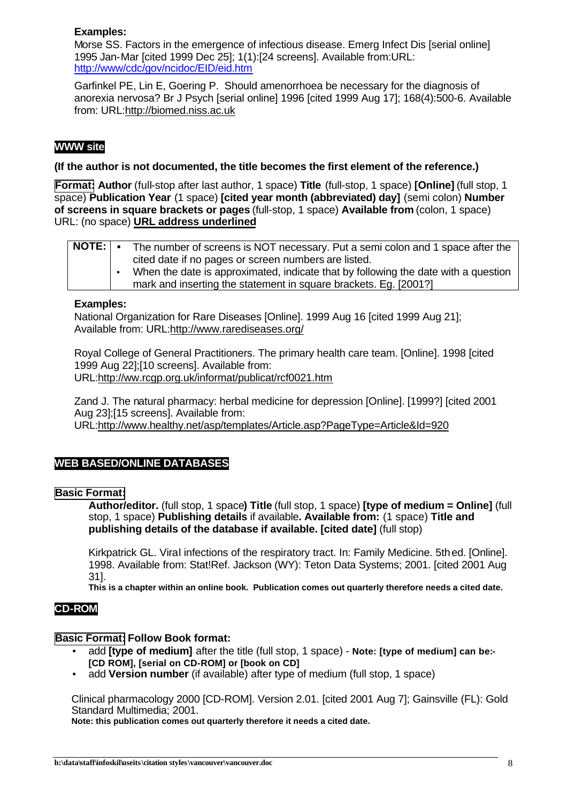## **Examples:**

Morse SS. Factors in the emergence of infectious disease. Emerg Infect Dis [serial online] 1995 Jan-Mar [cited 1999 Dec 25]; 1(1):[24 screens]. Available from:URL: http://www/cdc/gov/ncidoc/EID/eid.htm

Garfinkel PE, Lin E, Goering P. Should amenorrhoea be necessary for the diagnosis of anorexia nervosa? Br J Psych [serial online] 1996 [cited 1999 Aug 17]; 168(4):500-6. Available from: URL:http://biomed.niss.ac.uk

## **WWW site**

### **(If the author is not documented, the title becomes the first element of the reference.)**

**Format: Author** (full-stop after last author, 1 space) **Title** (full-stop, 1 space) **[Online]** (full stop, 1 space) **Publication Year** (1 space) **[cited year month (abbreviated) day]** (semi colon) **Number of screens in square brackets or pages** (full-stop, 1 space) **Available from** (colon, 1 space) URL: (no space) **URL address underlined**

| NOTE: | The number of screens is NOT necessary. Put a semi colon and 1 space after the     |
|-------|------------------------------------------------------------------------------------|
|       | cited date if no pages or screen numbers are listed.                               |
|       | When the date is approximated, indicate that by following the date with a question |
|       | mark and inserting the statement in square brackets. Eg. [2001?]                   |

#### **Examples:**

National Organization for Rare Diseases [Online]. 1999 Aug 16 [cited 1999 Aug 21]; Available from: URL:http://www.rarediseases.org/

Royal College of General Practitioners. The primary health care team. [Online]. 1998 [cited 1999 Aug 22];[10 screens]. Available from: URL:http://ww.rcgp.org.uk/informat/publicat/rcf0021.htm

Zand J. The natural pharmacy: herbal medicine for depression [Online]. [1999?] [cited 2001 Aug 23];[15 screens]. Available from: URL:http://www.healthy.net/asp/templates/Article.asp?PageType=Article&Id=920

## **WEB BASED/ONLINE DATABASES**

## **Basic Format:**

**Author/editor.** (full stop, 1 space**) Title** (full stop, 1 space) **[type of medium = Online]** (full stop, 1 space) **Publishing details** if available**. Available from:** (1 space) **Title and publishing details of the database if available. [cited date]** (full stop)

Kirkpatrick GL. Viral infections of the respiratory tract. In: Family Medicine. 5thed. [Online]. 1998. Available from: Stat!Ref. Jackson (WY): Teton Data Systems; 2001. [cited 2001 Aug 31].

**This is a chapter within an online book. Publication comes out quarterly therefore needs a cited date.**

## **CD-ROM**

## **Basic Format: Follow Book format:**

- add **[type of medium]** after the title (full stop, 1 space) **Note: [type of medium] can be:- [CD ROM], [serial on CD-ROM] or [book on CD]**
- add **Version number** (if available) after type of medium (full stop, 1 space)

Clinical pharmacology 2000 [CD-ROM]. Version 2.01. [cited 2001 Aug 7]; Gainsville (FL): Gold Standard Multimedia; 2001.

**Note: this publication comes out quarterly therefore it needs a cited date.**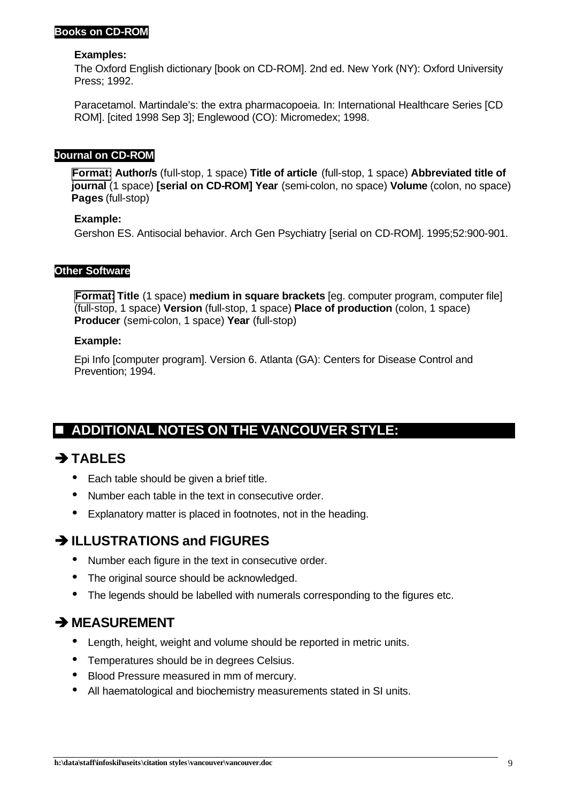## **Books on CD-ROM**

#### **Examples:**

The Oxford English dictionary [book on CD-ROM]. 2nd ed. New York (NY): Oxford University Press; 1992.

Paracetamol. Martindale's: the extra pharmacopoeia. In: International Healthcare Series [CD ROM]. [cited 1998 Sep 3]; Englewood (CO): Micromedex; 1998.

## **Journal on CD-ROM**

**Format: Author/s** (full-stop, 1 space) **Title of article** (full-stop, 1 space) **Abbreviated title of journal** (1 space) **[serial on CD-ROM] Year** (semi-colon, no space) **Volume** (colon, no space) **Pages** (full-stop)

## **Example:**

Gershon ES. Antisocial behavior. Arch Gen Psychiatry [serial on CD-ROM]. 1995;52:900-901.

## **Other Software**

**Format: Title** (1 space) **medium in square brackets** [eg. computer program, computer file] (full-stop, 1 space) **Version** (full-stop, 1 space) **Place of production** (colon, 1 space) **Producer** (semi-colon, 1 space) **Year** (full-stop)

#### **Example:**

Epi Info [computer program]. Version 6. Atlanta (GA): Centers for Disease Control and Prevention; 1994.

# **E ADDITIONAL NOTES ON THE VANCOUVER STYLE:**

# **ËTABLES**

- Each table should be given a brief title.
- Number each table in the text in consecutive order.
- Explanatory matter is placed in footnotes, not in the heading.

# **ËILLUSTRATIONS and FIGURES**

- Number each figure in the text in consecutive order.
- The original source should be acknowledged.
- The legends should be labelled with numerals corresponding to the figures etc.

## **ËMEASUREMENT**

- Length, height, weight and volume should be reported in metric units.
- Temperatures should be in degrees Celsius.
- Blood Pressure measured in mm of mercury.
- All haematological and biochemistry measurements stated in SI units.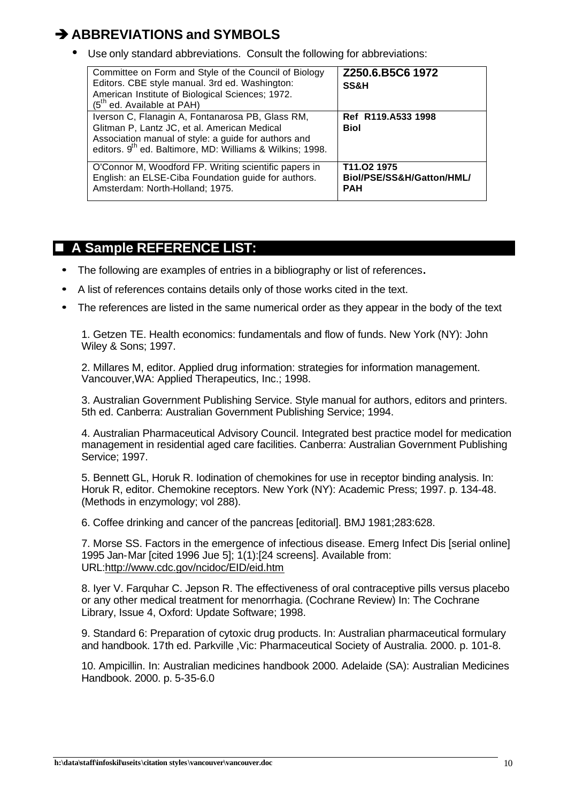# **ËABBREVIATIONS and SYMBOLS**

• Use only standard abbreviations. Consult the following for abbreviations:

| Committee on Form and Style of the Council of Biology<br>Editors. CBE style manual. 3rd ed. Washington:<br>American Institute of Biological Sciences; 1972.<br>$(5th$ ed. Available at PAH)                                       | Z250.6.B5C6 1972<br><b>SS&amp;H</b>                    |
|-----------------------------------------------------------------------------------------------------------------------------------------------------------------------------------------------------------------------------------|--------------------------------------------------------|
| Iverson C, Flanagin A, Fontanarosa PB, Glass RM,<br>Glitman P, Lantz JC, et al. American Medical<br>Association manual of style: a guide for authors and<br>editors. 9 <sup>th</sup> ed. Baltimore, MD: Williams & Wilkins; 1998. | Ref R119.A533 1998<br><b>Biol</b>                      |
| O'Connor M, Woodford FP. Writing scientific papers in<br>English: an ELSE-Ciba Foundation guide for authors.<br>Amsterdam: North-Holland; 1975.                                                                                   | T11.02 1975<br>Biol/PSE/SS&H/Gatton/HML/<br><b>PAH</b> |

# **A Sample REFERENCE LIST:**

- **·** The following are examples of entries in a bibliography or list of references**.**
- **·** A list of references contains details only of those works cited in the text.
- **·** The references are listed in the same numerical order as they appear in the body of the text

1. Getzen TE. Health economics: fundamentals and flow of funds. New York (NY): John Wiley & Sons; 1997.

2. Millares M, editor. Applied drug information: strategies for information management. Vancouver,WA: Applied Therapeutics, Inc.; 1998.

3. Australian Government Publishing Service. Style manual for authors, editors and printers. 5th ed. Canberra: Australian Government Publishing Service; 1994.

4. Australian Pharmaceutical Advisory Council. Integrated best practice model for medication management in residential aged care facilities. Canberra: Australian Government Publishing Service; 1997.

5. Bennett GL, Horuk R. Iodination of chemokines for use in receptor binding analysis. In: Horuk R, editor. Chemokine receptors. New York (NY): Academic Press; 1997. p. 134-48. (Methods in enzymology; vol 288).

6. Coffee drinking and cancer of the pancreas [editorial]. BMJ 1981;283:628.

7. Morse SS. Factors in the emergence of infectious disease. Emerg Infect Dis [serial online] 1995 Jan-Mar [cited 1996 Jue 5]; 1(1):[24 screens]. Available from: URL:http://www.cdc.gov/ncidoc/EID/eid.htm

8. Iyer V. Farquhar C. Jepson R. The effectiveness of oral contraceptive pills versus placebo or any other medical treatment for menorrhagia. (Cochrane Review) In: The Cochrane Library, Issue 4, Oxford: Update Software; 1998.

9. Standard 6: Preparation of cytoxic drug products. In: Australian pharmaceutical formulary and handbook. 17th ed. Parkville ,Vic: Pharmaceutical Society of Australia. 2000. p. 101-8.

10. Ampicillin. In: Australian medicines handbook 2000. Adelaide (SA): Australian Medicines Handbook. 2000. p. 5-35-6.0